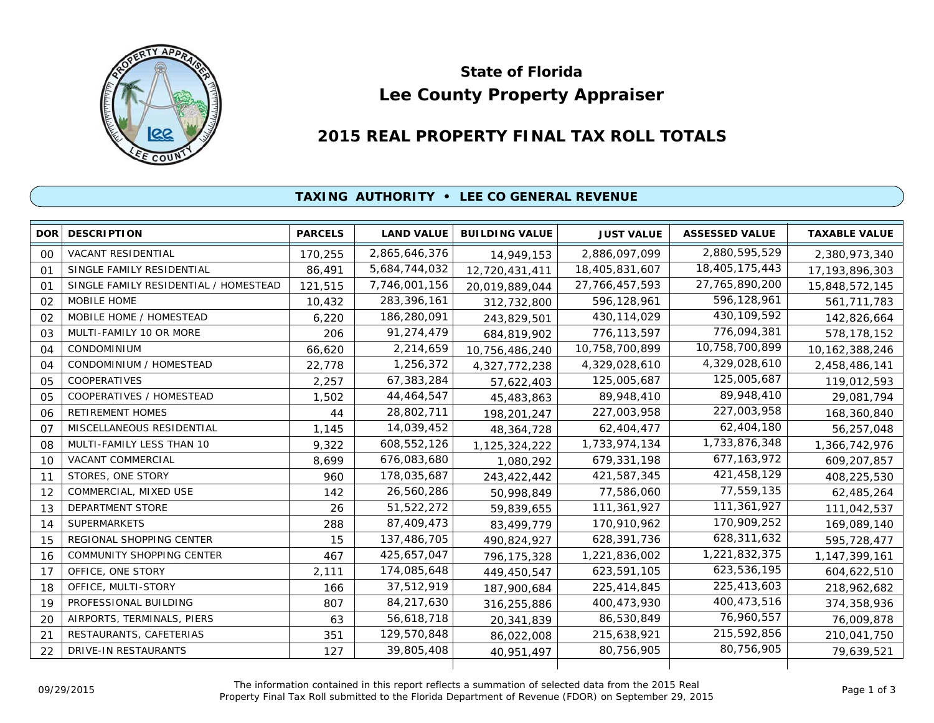

# **Lee County Property Appraiser State of Florida**

# **2015 REAL PROPERTY FINAL TAX ROLL TOTALS**

#### **TAXING AUTHORITY • LEE CO GENERAL REVENUE**

| <b>DOR</b>     | <b>DESCRIPTION</b>                    | <b>PARCELS</b> | <b>LAND VALUE</b> | <b>BUILDING VALUE</b> | <b>JUST VALUE</b> | <b>ASSESSED VALUE</b> | <b>TAXABLE VALUE</b> |
|----------------|---------------------------------------|----------------|-------------------|-----------------------|-------------------|-----------------------|----------------------|
| 0 <sup>0</sup> | <b>VACANT RESIDENTIAL</b>             | 170,255        | 2,865,646,376     | 14,949,153            | 2,886,097,099     | 2,880,595,529         | 2,380,973,340        |
| 01             | SINGLE FAMILY RESIDENTIAL             | 86,491         | 5,684,744,032     | 12,720,431,411        | 18,405,831,607    | 18,405,175,443        | 17, 193, 896, 303    |
| 01             | SINGLE FAMILY RESIDENTIAL / HOMESTEAD | 121,515        | 7,746,001,156     | 20,019,889,044        | 27,766,457,593    | 27,765,890,200        | 15,848,572,145       |
| 02             | MOBILE HOME                           | 10,432         | 283,396,161       | 312,732,800           | 596,128,961       | 596,128,961           | 561,711,783          |
| 02             | MOBILE HOME / HOMESTEAD               | 6,220          | 186,280,091       | 243,829,501           | 430, 114, 029     | 430, 109, 592         | 142,826,664          |
| 03             | MULTI-FAMILY 10 OR MORE               | 206            | 91,274,479        | 684,819,902           | 776,113,597       | 776,094,381           | 578,178,152          |
| 04             | CONDOMINIUM                           | 66,620         | 2,214,659         | 10,756,486,240        | 10,758,700,899    | 10,758,700,899        | 10, 162, 388, 246    |
| 04             | CONDOMINIUM / HOMESTEAD               | 22,778         | 1,256,372         | 4,327,772,238         | 4,329,028,610     | 4,329,028,610         | 2,458,486,141        |
| 05             | <b>COOPERATIVES</b>                   | 2,257          | 67,383,284        | 57,622,403            | 125,005,687       | 125,005,687           | 119,012,593          |
| 0 <sub>5</sub> | COOPERATIVES / HOMESTEAD              | 1,502          | 44,464,547        | 45,483,863            | 89,948,410        | 89,948,410            | 29,081,794           |
| 06             | <b>RETIREMENT HOMES</b>               | 44             | 28,802,711        | 198,201,247           | 227,003,958       | 227,003,958           | 168,360,840          |
| 07             | MISCELLANEOUS RESIDENTIAL             | 1,145          | 14,039,452        | 48,364,728            | 62,404,477        | 62,404,180            | 56,257,048           |
| 08             | MULTI-FAMILY LESS THAN 10             | 9,322          | 608,552,126       | 1,125,324,222         | 1,733,974,134     | 1,733,876,348         | 1,366,742,976        |
| 10             | VACANT COMMERCIAL                     | 8,699          | 676,083,680       | 1,080,292             | 679,331,198       | 677, 163, 972         | 609,207,857          |
| 11             | STORES, ONE STORY                     | 960            | 178,035,687       | 243,422,442           | 421,587,345       | 421,458,129           | 408,225,530          |
| 12             | COMMERCIAL, MIXED USE                 | 142            | 26,560,286        | 50,998,849            | 77,586,060        | 77,559,135            | 62,485,264           |
| 13             | DEPARTMENT STORE                      | 26             | 51,522,272        | 59,839,655            | 111,361,927       | 111,361,927           | 111,042,537          |
| 14             | <b>SUPERMARKETS</b>                   | 288            | 87,409,473        | 83,499,779            | 170,910,962       | 170,909,252           | 169,089,140          |
| 15             | REGIONAL SHOPPING CENTER              | 15             | 137,486,705       | 490,824,927           | 628,391,736       | 628,311,632           | 595,728,477          |
| 16             | COMMUNITY SHOPPING CENTER             | 467            | 425,657,047       | 796, 175, 328         | 1,221,836,002     | 1,221,832,375         | 1, 147, 399, 161     |
| 17             | OFFICE, ONE STORY                     | 2,111          | 174,085,648       | 449,450,547           | 623,591,105       | 623,536,195           | 604,622,510          |
| 18             | OFFICE, MULTI-STORY                   | 166            | 37,512,919        | 187,900,684           | 225,414,845       | 225,413,603           | 218,962,682          |
| 19             | PROFESSIONAL BUILDING                 | 807            | 84,217,630        | 316,255,886           | 400,473,930       | 400,473,516           | 374,358,936          |
| 20             | AIRPORTS, TERMINALS, PIERS            | 63             | 56,618,718        | 20,341,839            | 86,530,849        | 76,960,557            | 76,009,878           |
| 21             | RESTAURANTS, CAFETERIAS               | 351            | 129,570,848       | 86,022,008            | 215,638,921       | 215,592,856           | 210,041,750          |
| 22             | <b>DRIVE-IN RESTAURANTS</b>           | 127            | 39,805,408        | 40,951,497            | 80.756.905        | 80,756,905            | 79,639,521           |
|                |                                       |                |                   |                       |                   |                       |                      |

The information contained in this report reflects a summation of selected data from the 2015 Real Ine information contained in this report reflects a summation of selected data from the 2015 Real<br>Property Final Tax Roll submitted to the Florida Department of Revenue (FDOR) on September 29, 2015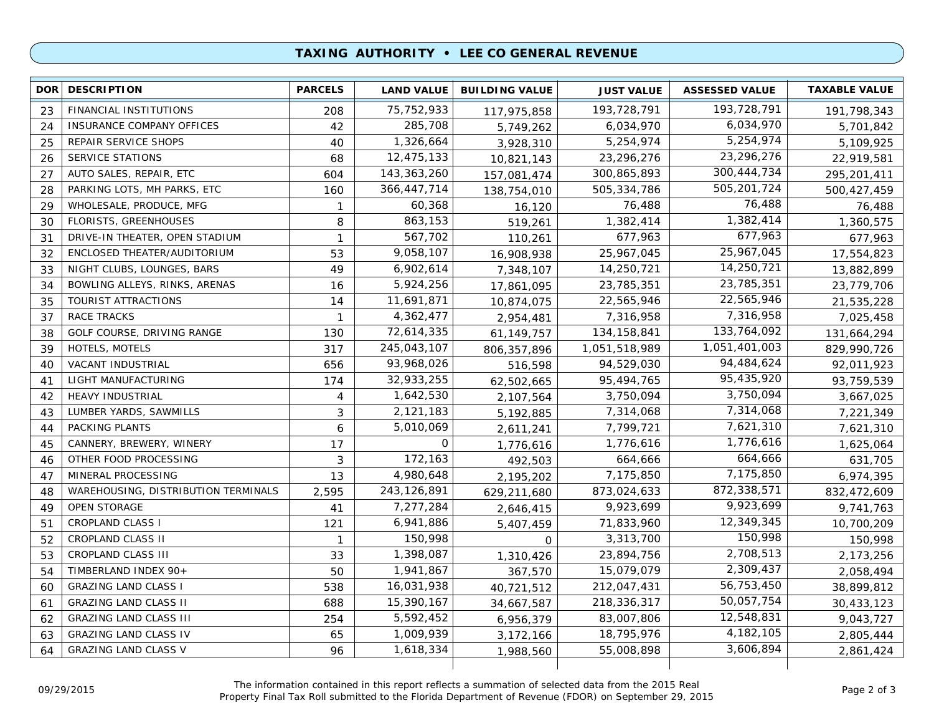## **TAXING AUTHORITY • LEE CO GENERAL REVENUE**

| 193,728,791<br>75, 752, 933<br>FINANCIAL INSTITUTIONS<br>193,728,791<br>23<br>208<br>191,798,343<br>117,975,858<br>6,034,970<br>285,708<br>42<br>6,034,970<br><b>INSURANCE COMPANY OFFICES</b><br>24<br>5,701,842<br>5,749,262<br>5,254,974<br>1,326,664<br>5,254,974<br>25<br>REPAIR SERVICE SHOPS<br>40<br>3,928,310<br>5,109,925<br>23,296,276<br>SERVICE STATIONS<br>12,475,133<br>23,296,276<br>26<br>68<br>10,821,143<br>22,919,581<br>300,444,734<br>AUTO SALES, REPAIR, ETC<br>143,363,260<br>300,865,893<br>27<br>604<br>295,201,411<br>157,081,474<br>505,201,724<br>PARKING LOTS, MH PARKS, ETC<br>366,447,714<br>505,334,786<br>28<br>160<br>500,427,459<br>138,754,010<br>76,488<br>WHOLESALE, PRODUCE, MFG<br>60,368<br>76,488<br>29<br>$\mathbf{1}$<br>16,120<br>76,488<br>1,382,414<br>863,153<br>FLORISTS, GREENHOUSES<br>1,382,414<br>8<br>1,360,575<br>30<br>519,261<br>677,963<br>567,702<br>DRIVE-IN THEATER, OPEN STADIUM<br>677,963<br>$\mathbf{1}$<br>677,963<br>31<br>110,261<br>25,967,045<br>9,058,107<br>ENCLOSED THEATER/AUDITORIUM<br>25,967,045<br>32<br>53<br>17,554,823<br>16,908,938<br>14,250,721<br>6,902,614<br>14,250,721<br>33<br>NIGHT CLUBS, LOUNGES, BARS<br>49<br>13,882,899<br>7,348,107<br>23,785,351<br>5,924,256<br>BOWLING ALLEYS, RINKS, ARENAS<br>23,785,351<br>34<br>16<br>17,861,095<br>23,779,706<br>22,565,946<br>11,691,871<br>TOURIST ATTRACTIONS<br>22,565,946<br>35<br>14<br>10,874,075<br>21,535,228<br>7,316,958<br>4,362,477<br>RACE TRACKS<br>7,316,958<br>37<br>7,025,458<br>$\mathbf{1}$<br>2,954,481<br>133,764,092<br>72,614,335<br>GOLF COURSE, DRIVING RANGE<br>134, 158, 841<br>38<br>130<br>131,664,294<br>61,149,757<br>1,051,401,003<br>245,043,107<br>HOTELS, MOTELS<br>317<br>1,051,518,989<br>39<br>829,990,726<br>806, 357, 896<br>94,484,624<br>93,968,026<br>VACANT INDUSTRIAL<br>656<br>94,529,030<br>40<br>92,011,923<br>516,598<br>95,435,920<br>32,933,255<br>LIGHT MANUFACTURING<br>95,494,765<br>41<br>174<br>93,759,539<br>62,502,665<br>3,750,094<br>1,642,530<br><b>HEAVY INDUSTRIAL</b><br>3,750,094<br>42<br>4<br>3,667,025<br>2,107,564<br>7,314,068<br>2,121,183<br>LUMBER YARDS, SAWMILLS<br>7,314,068<br>43<br>3<br>5,192,885<br>7,221,349<br>7,621,310<br>PACKING PLANTS<br>5,010,069<br>7,799,721<br>6<br>44<br>7,621,310<br>2,611,241<br>1,776,616<br>0<br>CANNERY, BREWERY, WINERY<br>1,776,616<br>1,625,064<br>45<br>17<br>1,776,616<br>664,666<br>172,163<br>OTHER FOOD PROCESSING<br>3<br>664,666<br>631,705<br>46<br>492,503<br>7,175,850<br>MINERAL PROCESSING<br>4,980,648<br>47<br>13<br>7,175,850<br>6,974,395<br>2,195,202<br>872,338,571<br>243, 126, 891<br>873,024,633<br>WAREHOUSING, DISTRIBUTION TERMINALS<br>2,595<br>832,472,609<br>48<br>629,211,680<br>9,923,699<br>OPEN STORAGE<br>7,277,284<br>9,923,699<br>9,741,763<br>49<br>41<br>2,646,415<br>12,349,345<br><b>CROPLAND CLASS I</b><br>6,941,886<br>71,833,960<br>51<br>121<br>10,700,209<br>5,407,459<br>150,998<br>CROPLAND CLASS II<br>150,998<br>3,313,700<br>52<br>150,998<br>$\mathbf 1$<br>$\mathbf 0$<br>2,708,513<br>1,398,087<br>53<br>CROPLAND CLASS III<br>23,894,756<br>2,173,256<br>33<br>1,310,426<br>2,309,437<br>TIMBERLAND INDEX 90+<br>1,941,867<br>15,079,079<br>54<br>50<br>2,058,494<br>367,570<br>56,753,450<br>16,031,938<br><b>GRAZING LAND CLASS I</b><br>212,047,431<br>538<br>60<br>38,899,812<br>40,721,512<br>50,057,754<br><b>GRAZING LAND CLASS II</b><br>15,390,167<br>218,336,317<br>688<br>61<br>30,433,123<br>34,667,587<br>12,548,831<br>5,592,452<br><b>GRAZING LAND CLASS III</b><br>83,007,806<br>62<br>254<br>9,043,727<br>6,956,379<br>4, 182, 105<br>1,009,939<br>18,795,976<br><b>GRAZING LAND CLASS IV</b><br>63<br>65<br>2,805,444<br>3,172,166<br>3,606,894<br><b>GRAZING LAND CLASS V</b><br>1,618,334<br>55,008,898<br>64<br>96<br>2,861,424<br>1,988,560 | <b>DOR</b> | <b>DESCRIPTION</b> | <b>PARCELS</b> | <b>LAND VALUE</b> | <b>BUILDING VALUE</b> | <b>JUST VALUE</b> | <b>ASSESSED VALUE</b> | <b>TAXABLE VALUE</b> |
|--------------------------------------------------------------------------------------------------------------------------------------------------------------------------------------------------------------------------------------------------------------------------------------------------------------------------------------------------------------------------------------------------------------------------------------------------------------------------------------------------------------------------------------------------------------------------------------------------------------------------------------------------------------------------------------------------------------------------------------------------------------------------------------------------------------------------------------------------------------------------------------------------------------------------------------------------------------------------------------------------------------------------------------------------------------------------------------------------------------------------------------------------------------------------------------------------------------------------------------------------------------------------------------------------------------------------------------------------------------------------------------------------------------------------------------------------------------------------------------------------------------------------------------------------------------------------------------------------------------------------------------------------------------------------------------------------------------------------------------------------------------------------------------------------------------------------------------------------------------------------------------------------------------------------------------------------------------------------------------------------------------------------------------------------------------------------------------------------------------------------------------------------------------------------------------------------------------------------------------------------------------------------------------------------------------------------------------------------------------------------------------------------------------------------------------------------------------------------------------------------------------------------------------------------------------------------------------------------------------------------------------------------------------------------------------------------------------------------------------------------------------------------------------------------------------------------------------------------------------------------------------------------------------------------------------------------------------------------------------------------------------------------------------------------------------------------------------------------------------------------------------------------------------------------------------------------------------------------------------------------------------------------------------------------------------------------------------------------------------------------------------------------------------------------------------------------------------------------------------------------------------------------------------------------------------------------------------------------------------------------------------------------------------------------------------------------------------------------------------------------------------------------------------------------------------------------------------------------------------------------------------|------------|--------------------|----------------|-------------------|-----------------------|-------------------|-----------------------|----------------------|
|                                                                                                                                                                                                                                                                                                                                                                                                                                                                                                                                                                                                                                                                                                                                                                                                                                                                                                                                                                                                                                                                                                                                                                                                                                                                                                                                                                                                                                                                                                                                                                                                                                                                                                                                                                                                                                                                                                                                                                                                                                                                                                                                                                                                                                                                                                                                                                                                                                                                                                                                                                                                                                                                                                                                                                                                                                                                                                                                                                                                                                                                                                                                                                                                                                                                                                                                                                                                                                                                                                                                                                                                                                                                                                                                                                                                                                                                                      |            |                    |                |                   |                       |                   |                       |                      |
|                                                                                                                                                                                                                                                                                                                                                                                                                                                                                                                                                                                                                                                                                                                                                                                                                                                                                                                                                                                                                                                                                                                                                                                                                                                                                                                                                                                                                                                                                                                                                                                                                                                                                                                                                                                                                                                                                                                                                                                                                                                                                                                                                                                                                                                                                                                                                                                                                                                                                                                                                                                                                                                                                                                                                                                                                                                                                                                                                                                                                                                                                                                                                                                                                                                                                                                                                                                                                                                                                                                                                                                                                                                                                                                                                                                                                                                                                      |            |                    |                |                   |                       |                   |                       |                      |
|                                                                                                                                                                                                                                                                                                                                                                                                                                                                                                                                                                                                                                                                                                                                                                                                                                                                                                                                                                                                                                                                                                                                                                                                                                                                                                                                                                                                                                                                                                                                                                                                                                                                                                                                                                                                                                                                                                                                                                                                                                                                                                                                                                                                                                                                                                                                                                                                                                                                                                                                                                                                                                                                                                                                                                                                                                                                                                                                                                                                                                                                                                                                                                                                                                                                                                                                                                                                                                                                                                                                                                                                                                                                                                                                                                                                                                                                                      |            |                    |                |                   |                       |                   |                       |                      |
|                                                                                                                                                                                                                                                                                                                                                                                                                                                                                                                                                                                                                                                                                                                                                                                                                                                                                                                                                                                                                                                                                                                                                                                                                                                                                                                                                                                                                                                                                                                                                                                                                                                                                                                                                                                                                                                                                                                                                                                                                                                                                                                                                                                                                                                                                                                                                                                                                                                                                                                                                                                                                                                                                                                                                                                                                                                                                                                                                                                                                                                                                                                                                                                                                                                                                                                                                                                                                                                                                                                                                                                                                                                                                                                                                                                                                                                                                      |            |                    |                |                   |                       |                   |                       |                      |
|                                                                                                                                                                                                                                                                                                                                                                                                                                                                                                                                                                                                                                                                                                                                                                                                                                                                                                                                                                                                                                                                                                                                                                                                                                                                                                                                                                                                                                                                                                                                                                                                                                                                                                                                                                                                                                                                                                                                                                                                                                                                                                                                                                                                                                                                                                                                                                                                                                                                                                                                                                                                                                                                                                                                                                                                                                                                                                                                                                                                                                                                                                                                                                                                                                                                                                                                                                                                                                                                                                                                                                                                                                                                                                                                                                                                                                                                                      |            |                    |                |                   |                       |                   |                       |                      |
|                                                                                                                                                                                                                                                                                                                                                                                                                                                                                                                                                                                                                                                                                                                                                                                                                                                                                                                                                                                                                                                                                                                                                                                                                                                                                                                                                                                                                                                                                                                                                                                                                                                                                                                                                                                                                                                                                                                                                                                                                                                                                                                                                                                                                                                                                                                                                                                                                                                                                                                                                                                                                                                                                                                                                                                                                                                                                                                                                                                                                                                                                                                                                                                                                                                                                                                                                                                                                                                                                                                                                                                                                                                                                                                                                                                                                                                                                      |            |                    |                |                   |                       |                   |                       |                      |
|                                                                                                                                                                                                                                                                                                                                                                                                                                                                                                                                                                                                                                                                                                                                                                                                                                                                                                                                                                                                                                                                                                                                                                                                                                                                                                                                                                                                                                                                                                                                                                                                                                                                                                                                                                                                                                                                                                                                                                                                                                                                                                                                                                                                                                                                                                                                                                                                                                                                                                                                                                                                                                                                                                                                                                                                                                                                                                                                                                                                                                                                                                                                                                                                                                                                                                                                                                                                                                                                                                                                                                                                                                                                                                                                                                                                                                                                                      |            |                    |                |                   |                       |                   |                       |                      |
|                                                                                                                                                                                                                                                                                                                                                                                                                                                                                                                                                                                                                                                                                                                                                                                                                                                                                                                                                                                                                                                                                                                                                                                                                                                                                                                                                                                                                                                                                                                                                                                                                                                                                                                                                                                                                                                                                                                                                                                                                                                                                                                                                                                                                                                                                                                                                                                                                                                                                                                                                                                                                                                                                                                                                                                                                                                                                                                                                                                                                                                                                                                                                                                                                                                                                                                                                                                                                                                                                                                                                                                                                                                                                                                                                                                                                                                                                      |            |                    |                |                   |                       |                   |                       |                      |
|                                                                                                                                                                                                                                                                                                                                                                                                                                                                                                                                                                                                                                                                                                                                                                                                                                                                                                                                                                                                                                                                                                                                                                                                                                                                                                                                                                                                                                                                                                                                                                                                                                                                                                                                                                                                                                                                                                                                                                                                                                                                                                                                                                                                                                                                                                                                                                                                                                                                                                                                                                                                                                                                                                                                                                                                                                                                                                                                                                                                                                                                                                                                                                                                                                                                                                                                                                                                                                                                                                                                                                                                                                                                                                                                                                                                                                                                                      |            |                    |                |                   |                       |                   |                       |                      |
|                                                                                                                                                                                                                                                                                                                                                                                                                                                                                                                                                                                                                                                                                                                                                                                                                                                                                                                                                                                                                                                                                                                                                                                                                                                                                                                                                                                                                                                                                                                                                                                                                                                                                                                                                                                                                                                                                                                                                                                                                                                                                                                                                                                                                                                                                                                                                                                                                                                                                                                                                                                                                                                                                                                                                                                                                                                                                                                                                                                                                                                                                                                                                                                                                                                                                                                                                                                                                                                                                                                                                                                                                                                                                                                                                                                                                                                                                      |            |                    |                |                   |                       |                   |                       |                      |
|                                                                                                                                                                                                                                                                                                                                                                                                                                                                                                                                                                                                                                                                                                                                                                                                                                                                                                                                                                                                                                                                                                                                                                                                                                                                                                                                                                                                                                                                                                                                                                                                                                                                                                                                                                                                                                                                                                                                                                                                                                                                                                                                                                                                                                                                                                                                                                                                                                                                                                                                                                                                                                                                                                                                                                                                                                                                                                                                                                                                                                                                                                                                                                                                                                                                                                                                                                                                                                                                                                                                                                                                                                                                                                                                                                                                                                                                                      |            |                    |                |                   |                       |                   |                       |                      |
|                                                                                                                                                                                                                                                                                                                                                                                                                                                                                                                                                                                                                                                                                                                                                                                                                                                                                                                                                                                                                                                                                                                                                                                                                                                                                                                                                                                                                                                                                                                                                                                                                                                                                                                                                                                                                                                                                                                                                                                                                                                                                                                                                                                                                                                                                                                                                                                                                                                                                                                                                                                                                                                                                                                                                                                                                                                                                                                                                                                                                                                                                                                                                                                                                                                                                                                                                                                                                                                                                                                                                                                                                                                                                                                                                                                                                                                                                      |            |                    |                |                   |                       |                   |                       |                      |
|                                                                                                                                                                                                                                                                                                                                                                                                                                                                                                                                                                                                                                                                                                                                                                                                                                                                                                                                                                                                                                                                                                                                                                                                                                                                                                                                                                                                                                                                                                                                                                                                                                                                                                                                                                                                                                                                                                                                                                                                                                                                                                                                                                                                                                                                                                                                                                                                                                                                                                                                                                                                                                                                                                                                                                                                                                                                                                                                                                                                                                                                                                                                                                                                                                                                                                                                                                                                                                                                                                                                                                                                                                                                                                                                                                                                                                                                                      |            |                    |                |                   |                       |                   |                       |                      |
|                                                                                                                                                                                                                                                                                                                                                                                                                                                                                                                                                                                                                                                                                                                                                                                                                                                                                                                                                                                                                                                                                                                                                                                                                                                                                                                                                                                                                                                                                                                                                                                                                                                                                                                                                                                                                                                                                                                                                                                                                                                                                                                                                                                                                                                                                                                                                                                                                                                                                                                                                                                                                                                                                                                                                                                                                                                                                                                                                                                                                                                                                                                                                                                                                                                                                                                                                                                                                                                                                                                                                                                                                                                                                                                                                                                                                                                                                      |            |                    |                |                   |                       |                   |                       |                      |
|                                                                                                                                                                                                                                                                                                                                                                                                                                                                                                                                                                                                                                                                                                                                                                                                                                                                                                                                                                                                                                                                                                                                                                                                                                                                                                                                                                                                                                                                                                                                                                                                                                                                                                                                                                                                                                                                                                                                                                                                                                                                                                                                                                                                                                                                                                                                                                                                                                                                                                                                                                                                                                                                                                                                                                                                                                                                                                                                                                                                                                                                                                                                                                                                                                                                                                                                                                                                                                                                                                                                                                                                                                                                                                                                                                                                                                                                                      |            |                    |                |                   |                       |                   |                       |                      |
|                                                                                                                                                                                                                                                                                                                                                                                                                                                                                                                                                                                                                                                                                                                                                                                                                                                                                                                                                                                                                                                                                                                                                                                                                                                                                                                                                                                                                                                                                                                                                                                                                                                                                                                                                                                                                                                                                                                                                                                                                                                                                                                                                                                                                                                                                                                                                                                                                                                                                                                                                                                                                                                                                                                                                                                                                                                                                                                                                                                                                                                                                                                                                                                                                                                                                                                                                                                                                                                                                                                                                                                                                                                                                                                                                                                                                                                                                      |            |                    |                |                   |                       |                   |                       |                      |
|                                                                                                                                                                                                                                                                                                                                                                                                                                                                                                                                                                                                                                                                                                                                                                                                                                                                                                                                                                                                                                                                                                                                                                                                                                                                                                                                                                                                                                                                                                                                                                                                                                                                                                                                                                                                                                                                                                                                                                                                                                                                                                                                                                                                                                                                                                                                                                                                                                                                                                                                                                                                                                                                                                                                                                                                                                                                                                                                                                                                                                                                                                                                                                                                                                                                                                                                                                                                                                                                                                                                                                                                                                                                                                                                                                                                                                                                                      |            |                    |                |                   |                       |                   |                       |                      |
|                                                                                                                                                                                                                                                                                                                                                                                                                                                                                                                                                                                                                                                                                                                                                                                                                                                                                                                                                                                                                                                                                                                                                                                                                                                                                                                                                                                                                                                                                                                                                                                                                                                                                                                                                                                                                                                                                                                                                                                                                                                                                                                                                                                                                                                                                                                                                                                                                                                                                                                                                                                                                                                                                                                                                                                                                                                                                                                                                                                                                                                                                                                                                                                                                                                                                                                                                                                                                                                                                                                                                                                                                                                                                                                                                                                                                                                                                      |            |                    |                |                   |                       |                   |                       |                      |
|                                                                                                                                                                                                                                                                                                                                                                                                                                                                                                                                                                                                                                                                                                                                                                                                                                                                                                                                                                                                                                                                                                                                                                                                                                                                                                                                                                                                                                                                                                                                                                                                                                                                                                                                                                                                                                                                                                                                                                                                                                                                                                                                                                                                                                                                                                                                                                                                                                                                                                                                                                                                                                                                                                                                                                                                                                                                                                                                                                                                                                                                                                                                                                                                                                                                                                                                                                                                                                                                                                                                                                                                                                                                                                                                                                                                                                                                                      |            |                    |                |                   |                       |                   |                       |                      |
|                                                                                                                                                                                                                                                                                                                                                                                                                                                                                                                                                                                                                                                                                                                                                                                                                                                                                                                                                                                                                                                                                                                                                                                                                                                                                                                                                                                                                                                                                                                                                                                                                                                                                                                                                                                                                                                                                                                                                                                                                                                                                                                                                                                                                                                                                                                                                                                                                                                                                                                                                                                                                                                                                                                                                                                                                                                                                                                                                                                                                                                                                                                                                                                                                                                                                                                                                                                                                                                                                                                                                                                                                                                                                                                                                                                                                                                                                      |            |                    |                |                   |                       |                   |                       |                      |
|                                                                                                                                                                                                                                                                                                                                                                                                                                                                                                                                                                                                                                                                                                                                                                                                                                                                                                                                                                                                                                                                                                                                                                                                                                                                                                                                                                                                                                                                                                                                                                                                                                                                                                                                                                                                                                                                                                                                                                                                                                                                                                                                                                                                                                                                                                                                                                                                                                                                                                                                                                                                                                                                                                                                                                                                                                                                                                                                                                                                                                                                                                                                                                                                                                                                                                                                                                                                                                                                                                                                                                                                                                                                                                                                                                                                                                                                                      |            |                    |                |                   |                       |                   |                       |                      |
|                                                                                                                                                                                                                                                                                                                                                                                                                                                                                                                                                                                                                                                                                                                                                                                                                                                                                                                                                                                                                                                                                                                                                                                                                                                                                                                                                                                                                                                                                                                                                                                                                                                                                                                                                                                                                                                                                                                                                                                                                                                                                                                                                                                                                                                                                                                                                                                                                                                                                                                                                                                                                                                                                                                                                                                                                                                                                                                                                                                                                                                                                                                                                                                                                                                                                                                                                                                                                                                                                                                                                                                                                                                                                                                                                                                                                                                                                      |            |                    |                |                   |                       |                   |                       |                      |
|                                                                                                                                                                                                                                                                                                                                                                                                                                                                                                                                                                                                                                                                                                                                                                                                                                                                                                                                                                                                                                                                                                                                                                                                                                                                                                                                                                                                                                                                                                                                                                                                                                                                                                                                                                                                                                                                                                                                                                                                                                                                                                                                                                                                                                                                                                                                                                                                                                                                                                                                                                                                                                                                                                                                                                                                                                                                                                                                                                                                                                                                                                                                                                                                                                                                                                                                                                                                                                                                                                                                                                                                                                                                                                                                                                                                                                                                                      |            |                    |                |                   |                       |                   |                       |                      |
|                                                                                                                                                                                                                                                                                                                                                                                                                                                                                                                                                                                                                                                                                                                                                                                                                                                                                                                                                                                                                                                                                                                                                                                                                                                                                                                                                                                                                                                                                                                                                                                                                                                                                                                                                                                                                                                                                                                                                                                                                                                                                                                                                                                                                                                                                                                                                                                                                                                                                                                                                                                                                                                                                                                                                                                                                                                                                                                                                                                                                                                                                                                                                                                                                                                                                                                                                                                                                                                                                                                                                                                                                                                                                                                                                                                                                                                                                      |            |                    |                |                   |                       |                   |                       |                      |
|                                                                                                                                                                                                                                                                                                                                                                                                                                                                                                                                                                                                                                                                                                                                                                                                                                                                                                                                                                                                                                                                                                                                                                                                                                                                                                                                                                                                                                                                                                                                                                                                                                                                                                                                                                                                                                                                                                                                                                                                                                                                                                                                                                                                                                                                                                                                                                                                                                                                                                                                                                                                                                                                                                                                                                                                                                                                                                                                                                                                                                                                                                                                                                                                                                                                                                                                                                                                                                                                                                                                                                                                                                                                                                                                                                                                                                                                                      |            |                    |                |                   |                       |                   |                       |                      |
|                                                                                                                                                                                                                                                                                                                                                                                                                                                                                                                                                                                                                                                                                                                                                                                                                                                                                                                                                                                                                                                                                                                                                                                                                                                                                                                                                                                                                                                                                                                                                                                                                                                                                                                                                                                                                                                                                                                                                                                                                                                                                                                                                                                                                                                                                                                                                                                                                                                                                                                                                                                                                                                                                                                                                                                                                                                                                                                                                                                                                                                                                                                                                                                                                                                                                                                                                                                                                                                                                                                                                                                                                                                                                                                                                                                                                                                                                      |            |                    |                |                   |                       |                   |                       |                      |
|                                                                                                                                                                                                                                                                                                                                                                                                                                                                                                                                                                                                                                                                                                                                                                                                                                                                                                                                                                                                                                                                                                                                                                                                                                                                                                                                                                                                                                                                                                                                                                                                                                                                                                                                                                                                                                                                                                                                                                                                                                                                                                                                                                                                                                                                                                                                                                                                                                                                                                                                                                                                                                                                                                                                                                                                                                                                                                                                                                                                                                                                                                                                                                                                                                                                                                                                                                                                                                                                                                                                                                                                                                                                                                                                                                                                                                                                                      |            |                    |                |                   |                       |                   |                       |                      |
|                                                                                                                                                                                                                                                                                                                                                                                                                                                                                                                                                                                                                                                                                                                                                                                                                                                                                                                                                                                                                                                                                                                                                                                                                                                                                                                                                                                                                                                                                                                                                                                                                                                                                                                                                                                                                                                                                                                                                                                                                                                                                                                                                                                                                                                                                                                                                                                                                                                                                                                                                                                                                                                                                                                                                                                                                                                                                                                                                                                                                                                                                                                                                                                                                                                                                                                                                                                                                                                                                                                                                                                                                                                                                                                                                                                                                                                                                      |            |                    |                |                   |                       |                   |                       |                      |
|                                                                                                                                                                                                                                                                                                                                                                                                                                                                                                                                                                                                                                                                                                                                                                                                                                                                                                                                                                                                                                                                                                                                                                                                                                                                                                                                                                                                                                                                                                                                                                                                                                                                                                                                                                                                                                                                                                                                                                                                                                                                                                                                                                                                                                                                                                                                                                                                                                                                                                                                                                                                                                                                                                                                                                                                                                                                                                                                                                                                                                                                                                                                                                                                                                                                                                                                                                                                                                                                                                                                                                                                                                                                                                                                                                                                                                                                                      |            |                    |                |                   |                       |                   |                       |                      |
|                                                                                                                                                                                                                                                                                                                                                                                                                                                                                                                                                                                                                                                                                                                                                                                                                                                                                                                                                                                                                                                                                                                                                                                                                                                                                                                                                                                                                                                                                                                                                                                                                                                                                                                                                                                                                                                                                                                                                                                                                                                                                                                                                                                                                                                                                                                                                                                                                                                                                                                                                                                                                                                                                                                                                                                                                                                                                                                                                                                                                                                                                                                                                                                                                                                                                                                                                                                                                                                                                                                                                                                                                                                                                                                                                                                                                                                                                      |            |                    |                |                   |                       |                   |                       |                      |
|                                                                                                                                                                                                                                                                                                                                                                                                                                                                                                                                                                                                                                                                                                                                                                                                                                                                                                                                                                                                                                                                                                                                                                                                                                                                                                                                                                                                                                                                                                                                                                                                                                                                                                                                                                                                                                                                                                                                                                                                                                                                                                                                                                                                                                                                                                                                                                                                                                                                                                                                                                                                                                                                                                                                                                                                                                                                                                                                                                                                                                                                                                                                                                                                                                                                                                                                                                                                                                                                                                                                                                                                                                                                                                                                                                                                                                                                                      |            |                    |                |                   |                       |                   |                       |                      |
|                                                                                                                                                                                                                                                                                                                                                                                                                                                                                                                                                                                                                                                                                                                                                                                                                                                                                                                                                                                                                                                                                                                                                                                                                                                                                                                                                                                                                                                                                                                                                                                                                                                                                                                                                                                                                                                                                                                                                                                                                                                                                                                                                                                                                                                                                                                                                                                                                                                                                                                                                                                                                                                                                                                                                                                                                                                                                                                                                                                                                                                                                                                                                                                                                                                                                                                                                                                                                                                                                                                                                                                                                                                                                                                                                                                                                                                                                      |            |                    |                |                   |                       |                   |                       |                      |
|                                                                                                                                                                                                                                                                                                                                                                                                                                                                                                                                                                                                                                                                                                                                                                                                                                                                                                                                                                                                                                                                                                                                                                                                                                                                                                                                                                                                                                                                                                                                                                                                                                                                                                                                                                                                                                                                                                                                                                                                                                                                                                                                                                                                                                                                                                                                                                                                                                                                                                                                                                                                                                                                                                                                                                                                                                                                                                                                                                                                                                                                                                                                                                                                                                                                                                                                                                                                                                                                                                                                                                                                                                                                                                                                                                                                                                                                                      |            |                    |                |                   |                       |                   |                       |                      |
|                                                                                                                                                                                                                                                                                                                                                                                                                                                                                                                                                                                                                                                                                                                                                                                                                                                                                                                                                                                                                                                                                                                                                                                                                                                                                                                                                                                                                                                                                                                                                                                                                                                                                                                                                                                                                                                                                                                                                                                                                                                                                                                                                                                                                                                                                                                                                                                                                                                                                                                                                                                                                                                                                                                                                                                                                                                                                                                                                                                                                                                                                                                                                                                                                                                                                                                                                                                                                                                                                                                                                                                                                                                                                                                                                                                                                                                                                      |            |                    |                |                   |                       |                   |                       |                      |
|                                                                                                                                                                                                                                                                                                                                                                                                                                                                                                                                                                                                                                                                                                                                                                                                                                                                                                                                                                                                                                                                                                                                                                                                                                                                                                                                                                                                                                                                                                                                                                                                                                                                                                                                                                                                                                                                                                                                                                                                                                                                                                                                                                                                                                                                                                                                                                                                                                                                                                                                                                                                                                                                                                                                                                                                                                                                                                                                                                                                                                                                                                                                                                                                                                                                                                                                                                                                                                                                                                                                                                                                                                                                                                                                                                                                                                                                                      |            |                    |                |                   |                       |                   |                       |                      |